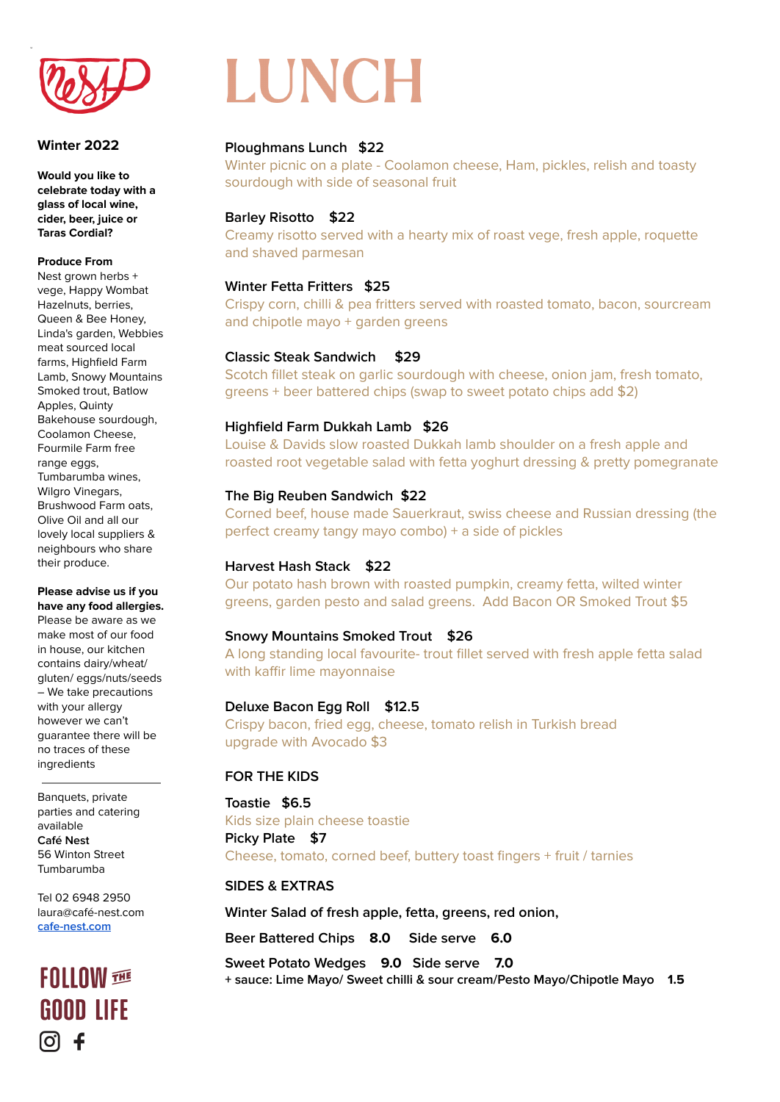

#### **Winter 2022**

u

**Would you like to celebrate today with a glass of local wine, cider, beer, juice or Taras Cordial?**

#### **Produce From**

Nest grown herbs + vege, Happy Wombat Hazelnuts, berries, Queen & Bee Honey, Linda's garden, Webbies meat sourced local farms, Highfield Farm Lamb, Snowy Mountains Smoked trout, Batlow Apples, Quinty Bakehouse sourdough, Coolamon Cheese, Fourmile Farm free range eggs, Tumbarumba wines, Wilgro Vinegars, Brushwood Farm oats, Olive Oil and all our lovely local suppliers & neighbours who share their produce.

**Please advise us if you have any food allergies.**

Please be aware as we make most of our food in house, our kitchen contains dairy/wheat/ gluten/ eggs/nuts/seeds – We take precautions with your allergy however we can't guarantee there will be no traces of these ingredients

Banquets, private parties and catering available **Café Nest** 56 Winton Street Tumbarumba

Tel 02 6948 2950 laura@café-nest.com **[cafe-nest.com](http://www.cafe-nest.com)**

## **GOOD LIFF** [ဝ] -6

# LUNCH

### **Ploughmans Lunch \$22**

Winter picnic on a plate - Coolamon cheese, Ham, pickles, relish and toasty sourdough with side of seasonal fruit

#### **Barley Risotto \$22**

Creamy risotto served with a hearty mix of roast vege, fresh apple, roquette and shaved parmesan

### **Winter Fetta Fritters \$25**

Crispy corn, chilli & pea fritters served with roasted tomato, bacon, sourcream and chipotle mayo + garden greens

#### **Classic Steak Sandwich \$29**

Scotch fillet steak on garlic sourdough with cheese, onion jam, fresh tomato, greens + beer battered chips (swap to sweet potato chips add \$2)

#### **Highfield Farm Dukkah Lamb \$26**

Louise & Davids slow roasted Dukkah lamb shoulder on a fresh apple and roasted root vegetable salad with fetta yoghurt dressing & pretty pomegranate

#### **The Big Reuben Sandwich \$22**

Corned beef, house made Sauerkraut, swiss cheese and Russian dressing (the perfect creamy tangy mayo combo) + a side of pickles

### **Harvest Hash Stack \$22**

Our potato hash brown with roasted pumpkin, creamy fetta, wilted winter greens, garden pesto and salad greens. Add Bacon OR Smoked Trout \$5

### **Snowy Mountains Smoked Trout \$26**

A long standing local favourite- trout fillet served with fresh apple fetta salad with kaffir lime mayonnaise

#### **Deluxe Bacon Egg Roll \$12.5**

Crispy bacon, fried egg, cheese, tomato relish in Turkish bread upgrade with Avocado \$3

### **FOR THE KIDS**

**Toastie \$6.5** Kids size plain cheese toastie **Picky Plate \$7** Cheese, tomato, corned beef, buttery toast fingers + fruit / tarnies

### **SIDES & EXTRAS**

**Winter Salad of fresh apple, fetta, greens, red onion,**

**Beer Battered Chips 8.0 Side serve 6.0**

**Sweet Potato Wedges 9.0 Side serve 7.0 + sauce: Lime Mayo/ Sweet chilli & sour cream/Pesto Mayo/Chipotle Mayo 1.5**